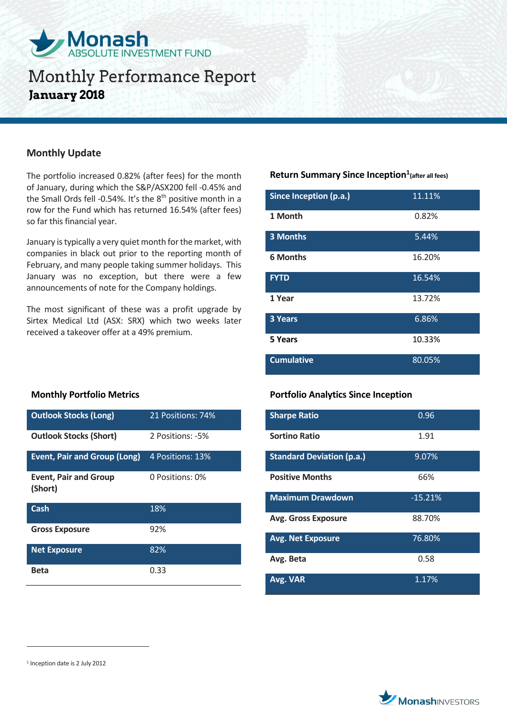

## **Monthly Update**

The portfolio increased 0.82% (after fees) for the month of January, during which the S&P/ASX200 fell -0.45% and the Small Ords fell -0.54%. It's the 8<sup>th</sup> positive month in a row for the Fund which has returned 16.54% (after fees) so far this financial year.

January is typically a very quiet month for the market, with companies in black out prior to the reporting month of February, and many people taking summer holidays. This January was no exception, but there were a few announcements of note for the Company holdings.

The most significant of these was a profit upgrade by Sirtex Medical Ltd (ASX: SRX) which two weeks later received a takeover offer at a 49% premium.

## **Return Summary Since Inception<sup>1</sup> (after all fees)**

| Since Inception (p.a.) | 11.11% |
|------------------------|--------|
| 1 Month                | 0.82%  |
| <b>3 Months</b>        | 5.44%  |
| <b>6 Months</b>        | 16.20% |
| <b>FYTD</b>            | 16.54% |
| 1 Year                 | 13.72% |
| <b>3 Years</b>         | 6.86%  |
| 5 Years                | 10.33% |
| <b>Cumulative</b>      | 80.05% |

### **Portfolio Analytics Since Inception**

| <b>Sharpe Ratio</b>              | 0.96      |
|----------------------------------|-----------|
| <b>Sortino Ratio</b>             | 1.91      |
| <b>Standard Deviation (p.a.)</b> | 9.07%     |
| <b>Positive Months</b>           | 66%       |
| <b>Maximum Drawdown</b>          | $-15.21%$ |
| <b>Avg. Gross Exposure</b>       | 88.70%    |
| <b>Avg. Net Exposure</b>         | 76.80%    |
| Avg. Beta                        | 0.58      |
| Avg. VAR                         | 1.17%     |

### **Monthly Portfolio Metrics**

| <b>Outlook Stocks (Long)</b>            | 21 Positions: 74% |
|-----------------------------------------|-------------------|
| <b>Outlook Stocks (Short)</b>           | 2 Positions: -5%  |
| <b>Event, Pair and Group (Long)</b>     | 4 Positions: 13%  |
| <b>Event, Pair and Group</b><br>(Short) | 0 Positions: 0%   |
| Cash                                    | 18%               |
| <b>Gross Exposure</b>                   | 92%               |
| <b>Net Exposure</b>                     | 82%               |
| Beta                                    | 0.33              |

 $\overline{a}$ 



<sup>1</sup> Inception date is 2 July 2012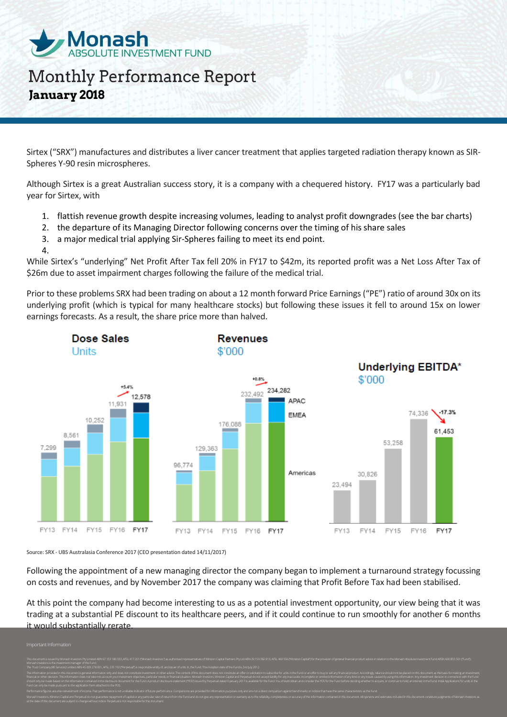

Sirtex ("SRX") manufactures and distributes a liver cancer treatment that applies targeted radiation therapy known as SIR-Spheres Y-90 resin microspheres.

Although Sirtex is a great Australian success story, it is a company with a chequered history. FY17 was a particularly bad year for Sirtex, with

- 1. flattish revenue growth despite increasing volumes, leading to analyst profit downgrades (see the bar charts)
- 2. the departure of its Managing Director following concerns over the timing of his share sales
- 3. a major medical trial applying Sir-Spheres failing to meet its end point.
- 4.

While Sirtex's "underlying" Net Profit After Tax fell 20% in FY17 to \$42m, its reported profit was a Net Loss After Tax of \$26m due to asset impairment charges following the failure of the medical trial.

Prior to these problems SRX had been trading on about a 12 month forward Price Earnings ("PE") ratio of around 30x on its underlying profit (which is typical for many healthcare stocks) but following these issues it fell to around 15x on lower earnings forecasts. As a result, the share price more than halved.



Source: SRX - UBS Australasia Conference 2017 (CEO presentation dated 14/11/2017)

Following the appointment of a new managing director the company began to implement a turnaround strategy focussing on costs and revenues, and by November 2017 the company was claiming that Profit Before Tax had been stabilised.

At this point the company had become interesting to us as a potential investment opportunity, our view being that it was trading at a substantial PE discount to its healthcare peers, and if it could continue to run smoothly for another 6 months it would substantially rerate.

Monash Investors is the investment manager of the Fund. The Trust Company (RE Services) Limited ABN 45 003 278 831, AFSL 235 150 ("Perpetual") is responsible entity of, and issuer of units in, the Fund. The inception date of the Fund is 2nd July 2012. financial or other decision. This information does not take into account your investment objectives, particular needs or financial situation. Monash Investors, Winston Capital and Perpetual do not accept liability for any Performance figures assume reinvestment of income. Past performance is not a reliable indicator of future performance. Comparisors are provided for information purposes only and are not a direct comparison against benchmar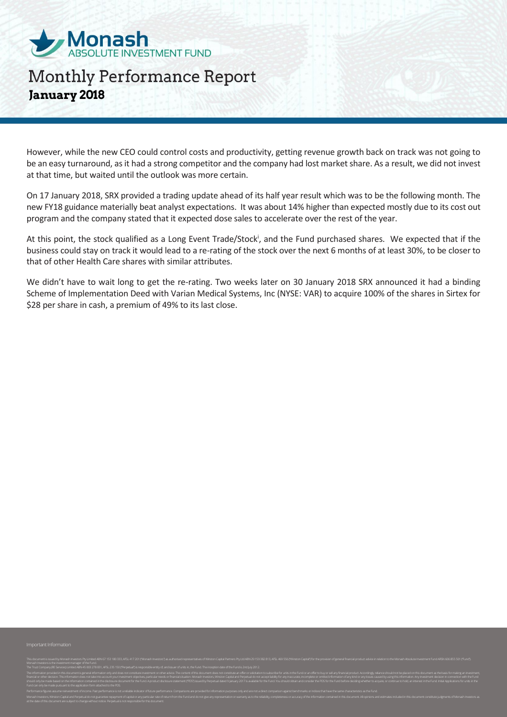

However, while the new CEO could control costs and productivity, getting revenue growth back on track was not going to be an easy turnaround, as it had a strong competitor and the company had lost market share. As a result, we did not invest at that time, but waited until the outlook was more certain.

On 17 January 2018, SRX provided a trading update ahead of its half year result which was to be the following month. The new FY18 guidance materially beat analyst expectations. It was about 14% higher than expected mostly due to its cost out program and the company stated that it expected dose sales to accelerate over the rest of the year.

At this point, the stock qualified as a Long Event Trade/Stock<sup>i</sup>, and the Fund purchased shares. We expected that if the business could stay on track it would lead to a re-rating of the stock over the next 6 months of at least 30%, to be closer to that of other Health Care shares with similar attributes.

We didn't have to wait long to get the re-rating. Two weeks later on 30 January 2018 SRX announced it had a binding Scheme of Implementation Deed with Varian Medical Systems, Inc (NYSE: VAR) to acquire 100% of the shares in Sirtex for \$28 per share in cash, a premium of 49% to its last close.

Monash Investors is the investment manager of the Fund. The Trust Company (RE Services) Limited ABN 45 003 278 831, AFSL 235 150 ("Perpetual") is responsible entity of, and issuer of units in, the Fund. The inception date of the Fund is 2nd July 2012. financial or other decision. This information does not take into account your investment objectives, particular needs or financial situation. Monash Investors, Winston Capital and Perpetual do not accept liability for any Performance figures assume reinvestment of income. Past performance is not a reliable indicator of future performance. Comparisors are provided for information purposes only and are not a direct comparison against benchmar